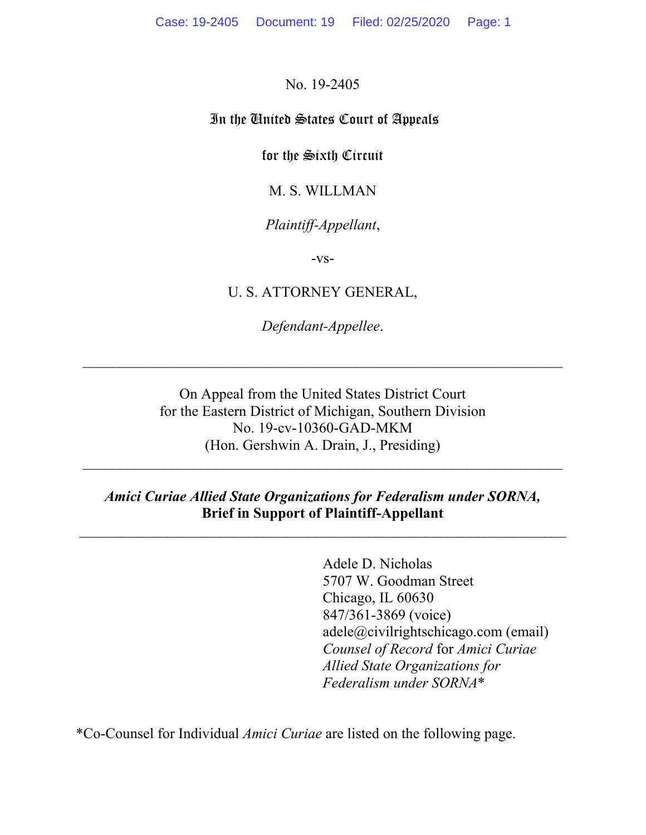No. 19-2405

### In the United States Court of Appeals

for the Sixth Circuit

M. S. WILLMAN

## *Plaintiff-Appellant*,

-vs-

U. S. ATTORNEY GENERAL,

*Defendant-Appellee*.

On Appeal from the United States District Court for the Eastern District of Michigan, Southern Division No. 19-cv-10360-GAD-MKM (Hon. Gershwin A. Drain, J., Presiding)

### *Amici Curiae Allied State Organizations for Federalism under SORNA,* **Brief in Support of Plaintiff-Appellant**

 $\mathcal{L}_\mathcal{L} = \mathcal{L}_\mathcal{L} = \mathcal{L}_\mathcal{L} = \mathcal{L}_\mathcal{L} = \mathcal{L}_\mathcal{L} = \mathcal{L}_\mathcal{L} = \mathcal{L}_\mathcal{L} = \mathcal{L}_\mathcal{L} = \mathcal{L}_\mathcal{L} = \mathcal{L}_\mathcal{L} = \mathcal{L}_\mathcal{L} = \mathcal{L}_\mathcal{L} = \mathcal{L}_\mathcal{L} = \mathcal{L}_\mathcal{L} = \mathcal{L}_\mathcal{L} = \mathcal{L}_\mathcal{L} = \mathcal{L}_\mathcal{L}$ 

Adele D. Nicholas 5707 W. Goodman Street Chicago, IL 60630 847/361-3869 (voice) adele@civilrightschicago.com (email) *Counsel of Record* for *Amici Curiae Allied State Organizations for Federalism under SORNA*\*

\*Co-Counsel for Individual *Amici Curiae* are listed on the following page.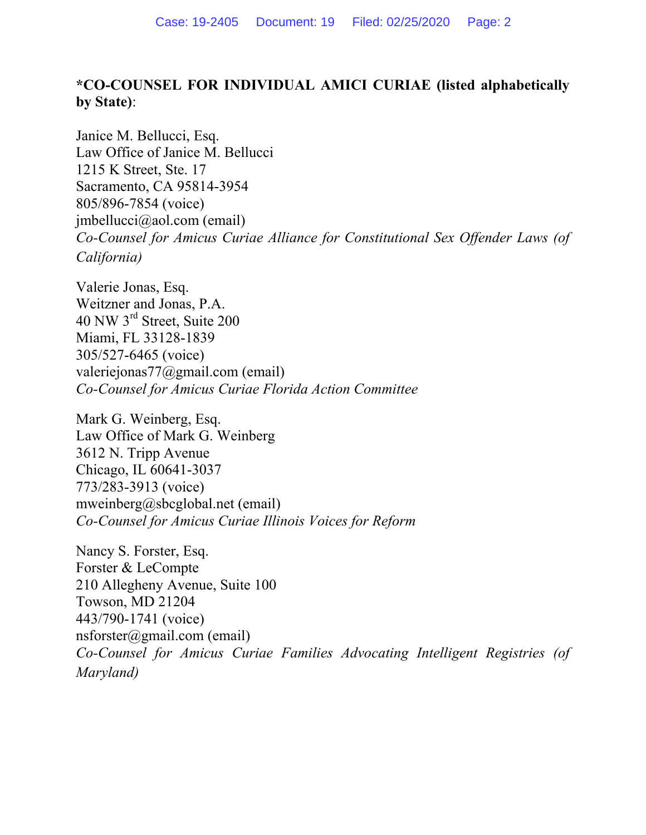# **\*CO-COUNSEL FOR INDIVIDUAL AMICI CURIAE (listed alphabetically by State)**:

Janice M. Bellucci, Esq. Law Office of Janice M. Bellucci 1215 K Street, Ste. 17 Sacramento, CA 95814-3954 805/896-7854 (voice) jmbellucci@aol.com (email) *Co-Counsel for Amicus Curiae Alliance for Constitutional Sex Offender Laws (of California)* 

Valerie Jonas, Esq. Weitzner and Jonas, P.A. 40 NW 3rd Street, Suite 200 Miami, FL 33128-1839 305/527-6465 (voice) valeriejonas77@gmail.com (email) *Co-Counsel for Amicus Curiae Florida Action Committee* 

Mark G. Weinberg, Esq. Law Office of Mark G. Weinberg 3612 N. Tripp Avenue Chicago, IL 60641-3037 773/283-3913 (voice) mweinberg@sbcglobal.net (email) *Co-Counsel for Amicus Curiae Illinois Voices for Reform* 

Nancy S. Forster, Esq. Forster & LeCompte 210 Allegheny Avenue, Suite 100 Towson, MD 21204 443/790-1741 (voice) nsforster@gmail.com (email) *Co-Counsel for Amicus Curiae Families Advocating Intelligent Registries (of Maryland)*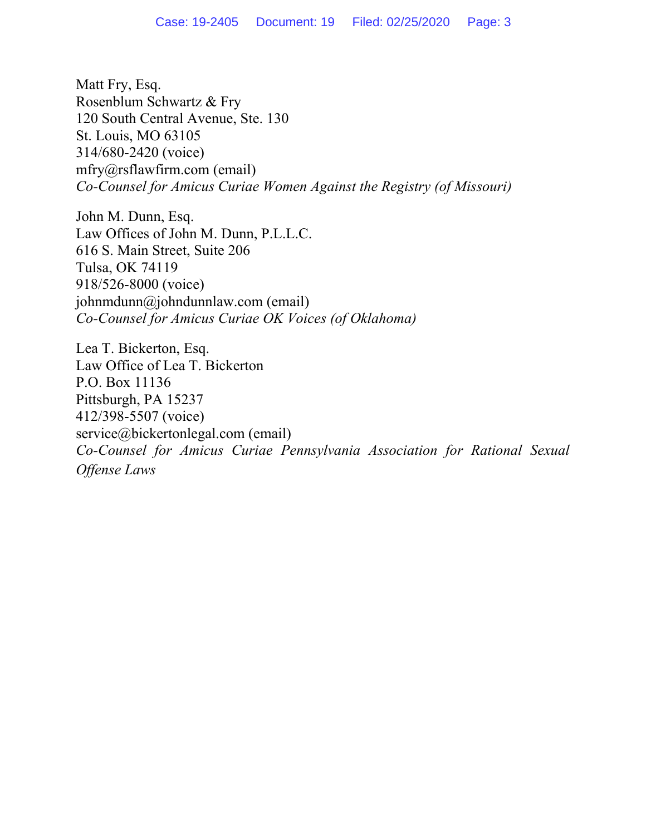Matt Fry, Esq. Rosenblum Schwartz & Fry 120 South Central Avenue, Ste. 130 St. Louis, MO 63105 314/680-2420 (voice) mfry@rsflawfirm.com (email) *Co-Counsel for Amicus Curiae Women Against the Registry (of Missouri)* 

John M. Dunn, Esq. Law Offices of John M. Dunn, P.L.L.C. 616 S. Main Street, Suite 206 Tulsa, OK 74119 918/526-8000 (voice) johnmdunn@johndunnlaw.com (email) *Co-Counsel for Amicus Curiae OK Voices (of Oklahoma)* 

Lea T. Bickerton, Esq. Law Office of Lea T. Bickerton P.O. Box 11136 Pittsburgh, PA 15237 412/398-5507 (voice) service@bickertonlegal.com (email) *Co-Counsel for Amicus Curiae Pennsylvania Association for Rational Sexual Offense Laws*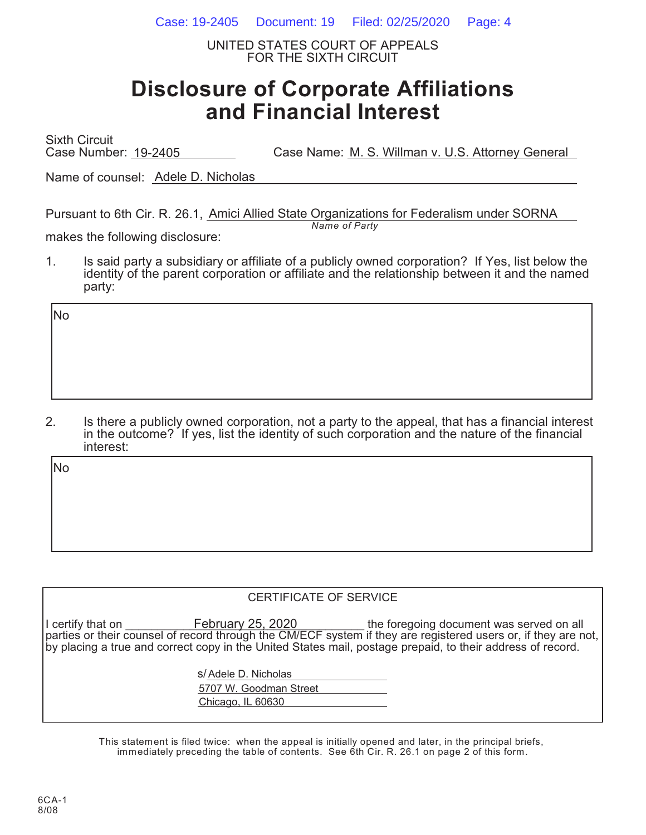Case: 19-2405 Document: 19 Filed: 02/25/2020 Page: 4

UNITED STATES COURT OF APPEALS FOR THE SIXTH CIRCUIT

# **Disclosure of Corporate Affiliations and Financial Interest**

Sixth Circuit Case Number: 19-2405 Case Name: M. S. Willman v. U.S. Attorney General

Name of counsel: Adele D. Nicholas

Pursuant to 6th Cir. R. 26.1, Amici Allied State Organizations for Federalism under SORNA *Name of Party*

makes the following disclosure:

1. Is said party a subsidiary or affiliate of a publicly owned corporation? If Yes, list below the identity of the parent corporation or affiliate and the relationship between it and the named party:

No

2. Is there a publicly owned corporation, not a party to the appeal, that has a financial interest in the outcome? If yes, list the identity of such corporation and the nature of the financial interest:

No

### CERTIFICATE OF SERVICE

I certify that on **E**ebruary 25, 2020 the foregoing document was served on all parties or their counsel of record through the CM/ECF system if they are registered users or, if they are not, by placing a true and correct copy in the United States mail, postage prepaid, to their address of record. February 25, 2020

> s/ Adele D. Nicholas 5707 W. Goodman Street Chicago, IL 60630

This statement is filed twice: when the appeal is initially opened and later, in the principal briefs, immediately preceding the table of contents. See 6th Cir. R. 26.1 on page 2 of this form.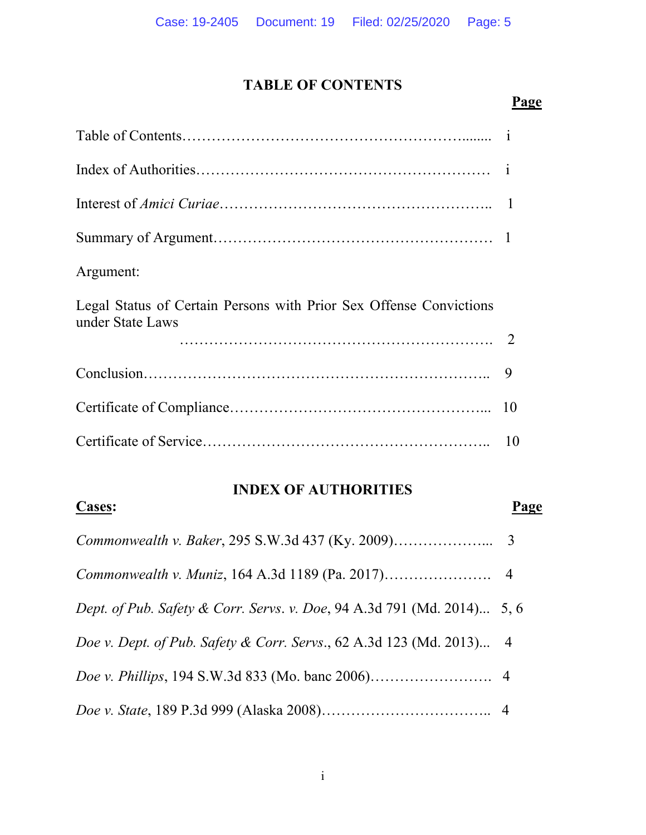# **TABLE OF CONTENTS**

### **Page Page**

| Argument:                                                                              |  |
|----------------------------------------------------------------------------------------|--|
| Legal Status of Certain Persons with Prior Sex Offense Convictions<br>under State Laws |  |
|                                                                                        |  |
|                                                                                        |  |
|                                                                                        |  |
|                                                                                        |  |

### **INDEX OF AUTHORITIES**

**Cases: Page** 

# *Commonwealth v. Baker*, 295 S.W.3d 437 (Ky. 2009)………………... 3 *Commonwealth v. Muniz*, 164 A.3d 1189 (Pa. 2017)…………………. 4 *Dept. of Pub. Safety & Corr. Servs*. *v. Doe*, 94 A.3d 791 (Md. 2014)... 5, 6 *Doe v. Dept. of Pub. Safety & Corr. Servs*., 62 A.3d 123 (Md. 2013)... 4 *Doe v. Phillips*, 194 S.W.3d 833 (Mo. banc 2006)……………………. 4 *Doe v. State*, 189 P.3d 999 (Alaska 2008)…………………………….. 4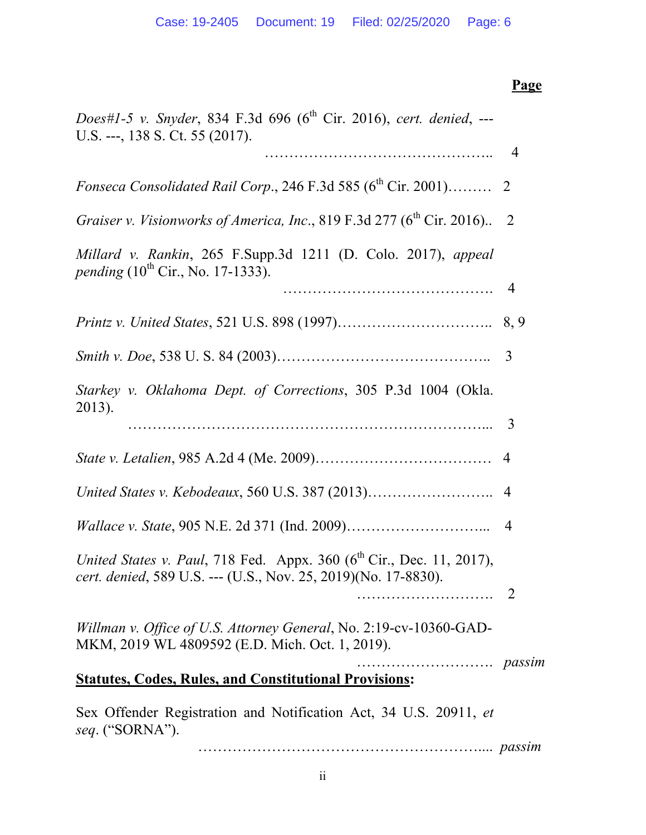# **Page Page** *Does#1-5 v. Snyder*, 834 F.3d 696 (6<sup>th</sup> Cir. 2016), *cert. denied*, ---U.S. ---, 138 S. Ct. 55 (2017). ……………………………………….. 4 *Fonseca Consolidated Rail Corp.*, 246 F.3d 585  $(6^{th}$  Cir. 2001)……… 2 *Graiser v. Visionworks of America, Inc.*, 819 F.3d 277 (6<sup>th</sup> Cir. 2016).. 2 *Millard v. Rankin*, 265 F.Supp.3d 1211 (D. Colo. 2017), *appeal pending*  $(10^{th}$  Cir., No. 17-1333). ……………………………………. 4 *Printz v. United States*, 521 U.S. 898 (1997)………………………….. 8, 9 *Smith v. Doe*, 538 U. S. 84 (2003)…………………………………….. 3 *Starkey v. Oklahoma Dept. of Corrections*, 305 P.3d 1004 (Okla. 2013). ………………………………………………………………... 3 *State v. Letalien*, 985 A.2d 4 (Me. 2009)……………………………… 4 *United States v. Kebodeaux*, 560 U.S. 387 (2013)…………………….. 4 *Wallace v. State*, 905 N.E. 2d 371 (Ind. 2009)………………………... 4 *United States v. Paul, 718 Fed. Appx. 360 (6<sup>th</sup> Cir., Dec. 11, 2017), cert. denied*, 589 U.S. --- (U.S., Nov. 25, 2019)(No. 17-8830). ………………………. 2 *Willman v. Office of U.S. Attorney General*, No. 2:19-cv-10360-GAD-MKM, 2019 WL 4809592 (E.D. Mich. Oct. 1, 2019). ………………………. *passim* **Statutes, Codes, Rules, and Constitutional Provisions:**  Sex Offender Registration and Notification Act, 34 U.S. 20911, *et seq*. ("SORNA").

………………………………………………….... *passim*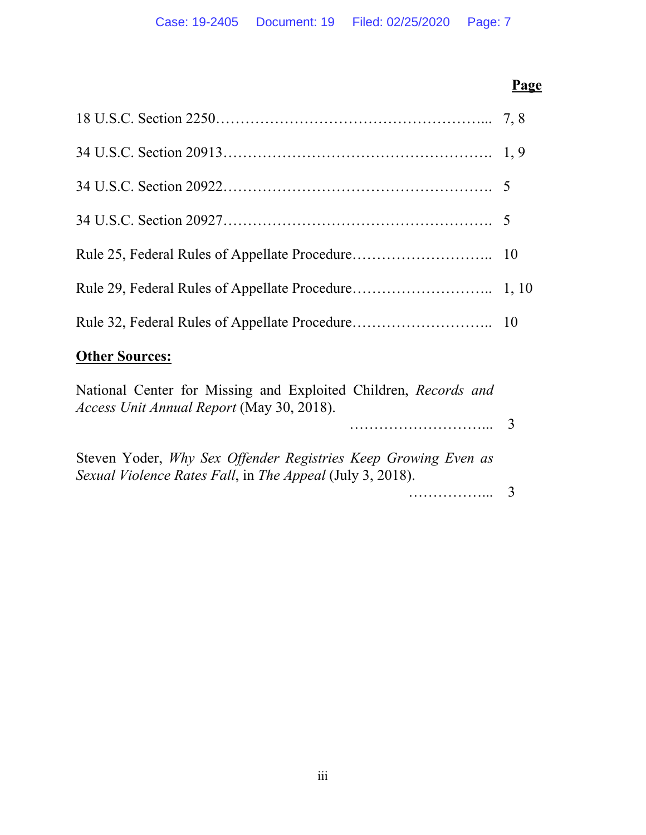## **Page Page**

| <b>Other Sources:</b> |  |
|-----------------------|--|

# National Center for Missing and Exploited Children, *Records and*

*Access Unit Annual Report* (May 30, 2018).

………………………... 3

Steven Yoder, *Why Sex Offender Registries Keep Growing Even as Sexual Violence Rates Fall*, in *The Appeal* (July 3, 2018).

……………... 3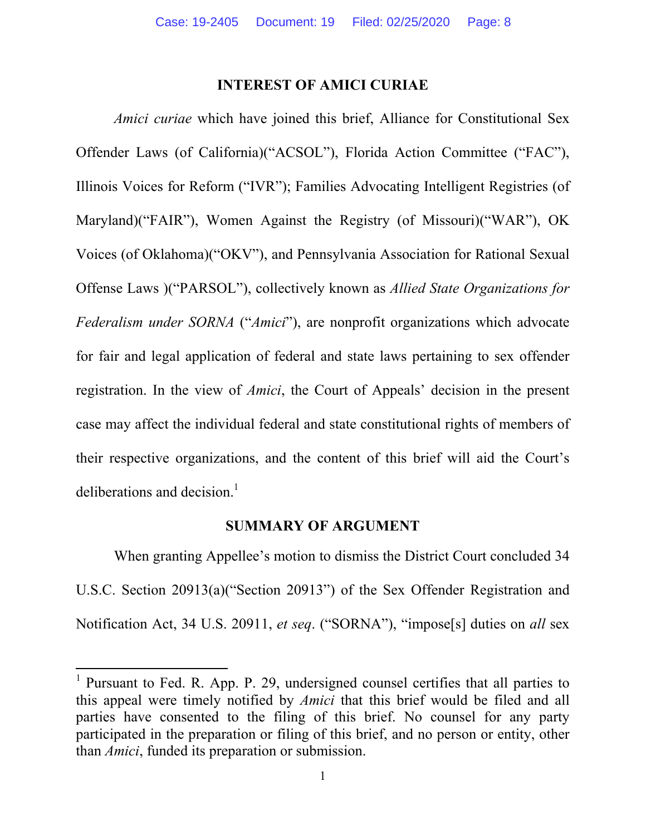### **INTEREST OF AMICI CURIAE**

*Amici curiae* which have joined this brief, Alliance for Constitutional Sex Offender Laws (of California)("ACSOL"), Florida Action Committee ("FAC"), Illinois Voices for Reform ("IVR"); Families Advocating Intelligent Registries (of Maryland)("FAIR"), Women Against the Registry (of Missouri)("WAR"), OK Voices (of Oklahoma)("OKV"), and Pennsylvania Association for Rational Sexual Offense Laws )("PARSOL"), collectively known as *Allied State Organizations for Federalism under SORNA* ("*Amici*"), are nonprofit organizations which advocate for fair and legal application of federal and state laws pertaining to sex offender registration. In the view of *Amici*, the Court of Appeals' decision in the present case may affect the individual federal and state constitutional rights of members of their respective organizations, and the content of this brief will aid the Court's deliberations and decision.<sup>1</sup>

### **SUMMARY OF ARGUMENT**

When granting Appellee's motion to dismiss the District Court concluded 34 U.S.C. Section 20913(a)("Section 20913") of the Sex Offender Registration and Notification Act, 34 U.S. 20911, *et seq*. ("SORNA"), "impose[s] duties on *all* sex

<sup>&</sup>lt;sup>1</sup> Pursuant to Fed. R. App. P. 29, undersigned counsel certifies that all parties to this appeal were timely notified by *Amici* that this brief would be filed and all parties have consented to the filing of this brief. No counsel for any party participated in the preparation or filing of this brief, and no person or entity, other than *Amici*, funded its preparation or submission.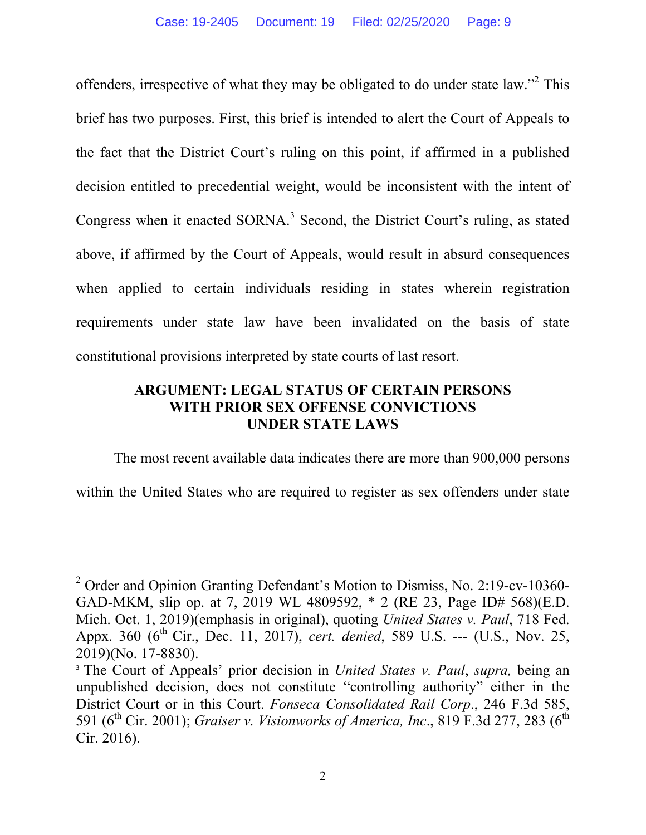offenders, irrespective of what they may be obligated to do under state law."<sup>2</sup> This brief has two purposes. First, this brief is intended to alert the Court of Appeals to the fact that the District Court's ruling on this point, if affirmed in a published decision entitled to precedential weight, would be inconsistent with the intent of Congress when it enacted  $SORNA$ <sup>3</sup> Second, the District Court's ruling, as stated above, if affirmed by the Court of Appeals, would result in absurd consequences when applied to certain individuals residing in states wherein registration requirements under state law have been invalidated on the basis of state constitutional provisions interpreted by state courts of last resort.

## **ARGUMENT: LEGAL STATUS OF CERTAIN PERSONS WITH PRIOR SEX OFFENSE CONVICTIONS UNDER STATE LAWS**

The most recent available data indicates there are more than 900,000 persons

within the United States who are required to register as sex offenders under state

<sup>&</sup>lt;sup>2</sup> Order and Opinion Granting Defendant's Motion to Dismiss, No. 2:19-cv-10360-GAD-MKM, slip op. at 7, 2019 WL 4809592, \* 2 (RE 23, Page ID# 568)(E.D. Mich. Oct. 1, 2019)(emphasis in original), quoting *United States v. Paul*, 718 Fed. Appx. 360 (6<sup>th</sup> Cir., Dec. 11, 2017), *cert. denied*, 589 U.S. --- (U.S., Nov. 25, 2019)(No. 17-8830).

<sup>3</sup> The Court of Appeals' prior decision in *United States v. Paul*, *supra,* being an unpublished decision, does not constitute "controlling authority" either in the District Court or in this Court. *Fonseca Consolidated Rail Corp*., 246 F.3d 585, 591 (6<sup>th</sup> Cir. 2001); *Graiser v. Visionworks of America, Inc.*, 819 F.3d 277, 283 (6<sup>th</sup>) Cir. 2016).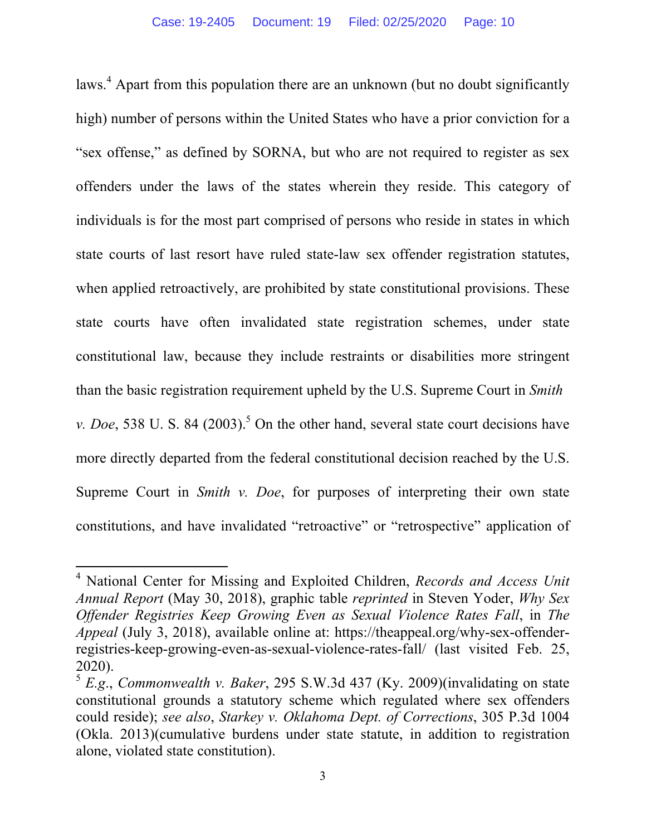laws.<sup>4</sup> Apart from this population there are an unknown (but no doubt significantly high) number of persons within the United States who have a prior conviction for a "sex offense," as defined by SORNA, but who are not required to register as sex offenders under the laws of the states wherein they reside. This category of individuals is for the most part comprised of persons who reside in states in which state courts of last resort have ruled state-law sex offender registration statutes, when applied retroactively, are prohibited by state constitutional provisions. These state courts have often invalidated state registration schemes, under state constitutional law, because they include restraints or disabilities more stringent than the basic registration requirement upheld by the U.S. Supreme Court in *Smith v. Doe*, 538 U. S. 84  $(2003)$ <sup>5</sup> On the other hand, several state court decisions have more directly departed from the federal constitutional decision reached by the U.S. Supreme Court in *Smith v. Doe*, for purposes of interpreting their own state constitutions, and have invalidated "retroactive" or "retrospective" application of

<sup>4</sup> National Center for Missing and Exploited Children, *Records and Access Unit Annual Report* (May 30, 2018), graphic table *reprinted* in Steven Yoder, *Why Sex Offender Registries Keep Growing Even as Sexual Violence Rates Fall*, in *The Appeal* (July 3, 2018), available online at: https://theappeal.org/why-sex-offenderregistries-keep-growing-even-as-sexual-violence-rates-fall/ (last visited Feb. 25, 2020).

<sup>5</sup> *E.g*., *Commonwealth v. Baker*, 295 S.W.3d 437 (Ky. 2009)(invalidating on state constitutional grounds a statutory scheme which regulated where sex offenders could reside); *see also*, *Starkey v. Oklahoma Dept. of Corrections*, 305 P.3d 1004 (Okla. 2013)(cumulative burdens under state statute, in addition to registration alone, violated state constitution).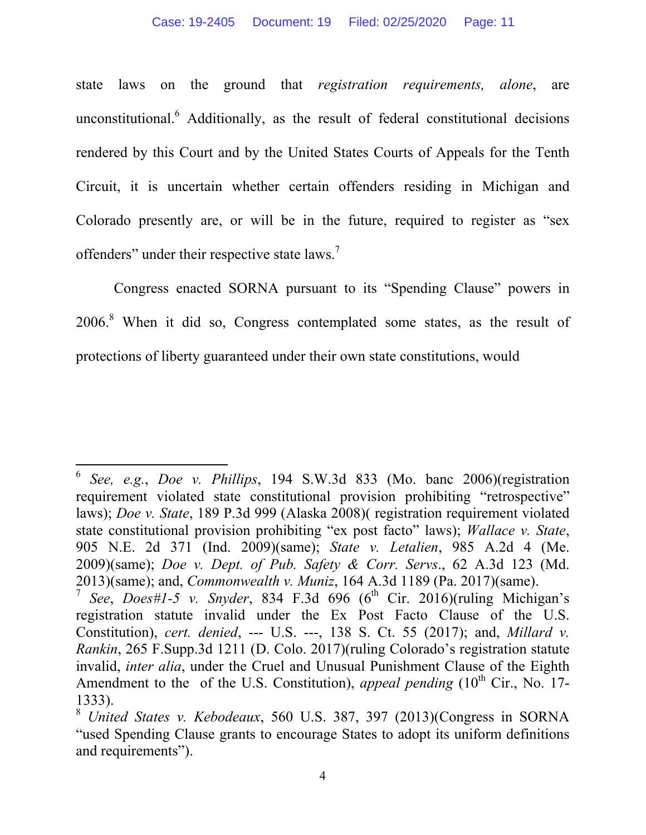state laws on the ground that *registration requirements, alone*, are unconstitutional.<sup>6</sup> Additionally, as the result of federal constitutional decisions rendered by this Court and by the United States Courts of Appeals for the Tenth Circuit, it is uncertain whether certain offenders residing in Michigan and Colorado presently are, or will be in the future, required to register as "sex offenders" under their respective state laws. $\frac{7}{1}$ 

 Congress enacted SORNA pursuant to its "Spending Clause" powers in 2006.<sup>8</sup> When it did so, Congress contemplated some states, as the result of protections of liberty guaranteed under their own state constitutions, would

<sup>6</sup> *See, e.g.*, *Doe v. Phillips*, 194 S.W.3d 833 (Mo. banc 2006)(registration requirement violated state constitutional provision prohibiting "retrospective" laws); *Doe v. State*, 189 P.3d 999 (Alaska 2008)( registration requirement violated state constitutional provision prohibiting "ex post facto" laws); *Wallace v. State*, 905 N.E. 2d 371 (Ind. 2009)(same); *State v. Letalien*, 985 A.2d 4 (Me. 2009)(same); *Doe v. Dept. of Pub. Safety & Corr. Servs*., 62 A.3d 123 (Md. 2013)(same); and, *Commonwealth v. Muniz*, 164 A.3d 1189 (Pa. 2017)(same).

*See*, *Does#1-5 v. Snyder*, 834 F.3d 696 (6<sup>th</sup> Cir. 2016)(ruling Michigan's registration statute invalid under the Ex Post Facto Clause of the U.S. Constitution), *cert. denied*, --- U.S. ---, 138 S. Ct. 55 (2017); and, *Millard v. Rankin*, 265 F.Supp.3d 1211 (D. Colo. 2017)(ruling Colorado's registration statute invalid, *inter alia*, under the Cruel and Unusual Punishment Clause of the Eighth Amendment to the of the U.S. Constitution), *appeal pending*  $(10<sup>th</sup> Cir.$  No. 17-1333).

<sup>8</sup> *United States v. Kebodeaux*, 560 U.S. 387, 397 (2013)(Congress in SORNA "used Spending Clause grants to encourage States to adopt its uniform definitions and requirements").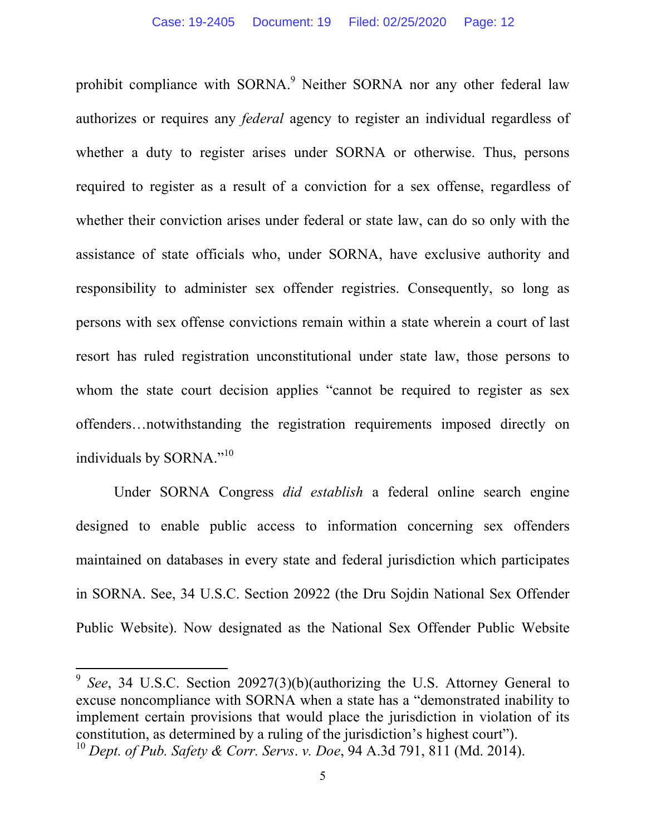prohibit compliance with SORNA.<sup>9</sup> Neither SORNA nor any other federal law authorizes or requires any *federal* agency to register an individual regardless of whether a duty to register arises under SORNA or otherwise. Thus, persons required to register as a result of a conviction for a sex offense, regardless of whether their conviction arises under federal or state law, can do so only with the assistance of state officials who, under SORNA, have exclusive authority and responsibility to administer sex offender registries. Consequently, so long as persons with sex offense convictions remain within a state wherein a court of last resort has ruled registration unconstitutional under state law, those persons to whom the state court decision applies "cannot be required to register as sex offenders…notwithstanding the registration requirements imposed directly on individuals by SORNA."<sup>10</sup>

 Under SORNA Congress *did establish* a federal online search engine designed to enable public access to information concerning sex offenders maintained on databases in every state and federal jurisdiction which participates in SORNA. See, 34 U.S.C. Section 20922 (the Dru Sojdin National Sex Offender Public Website). Now designated as the National Sex Offender Public Website

<sup>9</sup> *See*, 34 U.S.C. Section 20927(3)(b)(authorizing the U.S. Attorney General to excuse noncompliance with SORNA when a state has a "demonstrated inability to implement certain provisions that would place the jurisdiction in violation of its constitution, as determined by a ruling of the jurisdiction's highest court"). <sup>10</sup> *Dept. of Pub. Safety & Corr. Servs*. *v. Doe*, 94 A.3d 791, 811 (Md. 2014).

<sup>5</sup>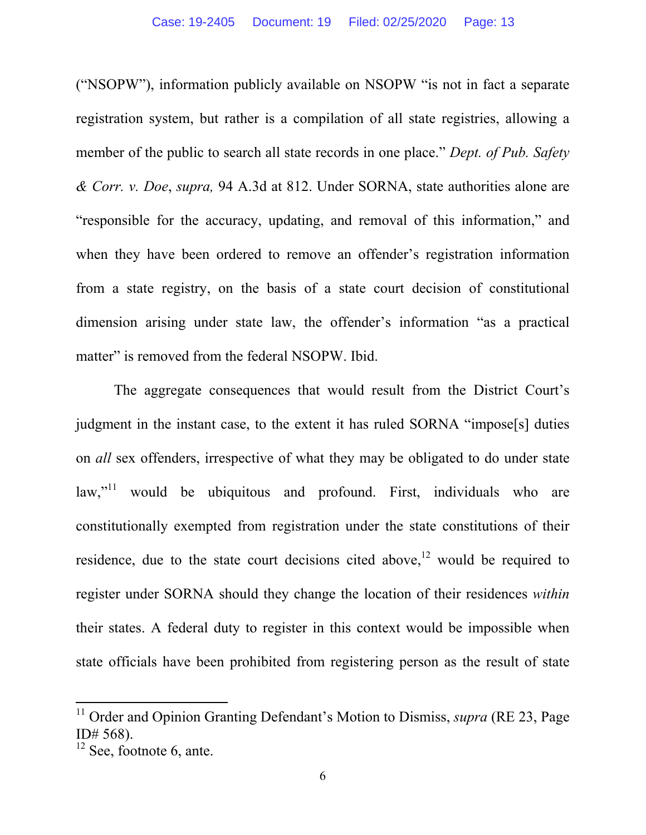("NSOPW"), information publicly available on NSOPW "is not in fact a separate registration system, but rather is a compilation of all state registries, allowing a member of the public to search all state records in one place." *Dept. of Pub. Safety & Corr. v. Doe*, *supra,* 94 A.3d at 812. Under SORNA, state authorities alone are "responsible for the accuracy, updating, and removal of this information," and when they have been ordered to remove an offender's registration information from a state registry, on the basis of a state court decision of constitutional dimension arising under state law, the offender's information "as a practical matter" is removed from the federal NSOPW. Ibid.

 The aggregate consequences that would result from the District Court's judgment in the instant case, to the extent it has ruled SORNA "impose[s] duties on *all* sex offenders, irrespective of what they may be obligated to do under state  $\text{law}$ ,<sup> $11$ </sup> would be ubiquitous and profound. First, individuals who are constitutionally exempted from registration under the state constitutions of their residence, due to the state court decisions cited above,  $12$  would be required to register under SORNA should they change the location of their residences *within* their states. A federal duty to register in this context would be impossible when state officials have been prohibited from registering person as the result of state

<sup>&</sup>lt;sup>11</sup> Order and Opinion Granting Defendant's Motion to Dismiss, *supra* (RE 23, Page ID# 568).

 $12$  See, footnote 6, ante.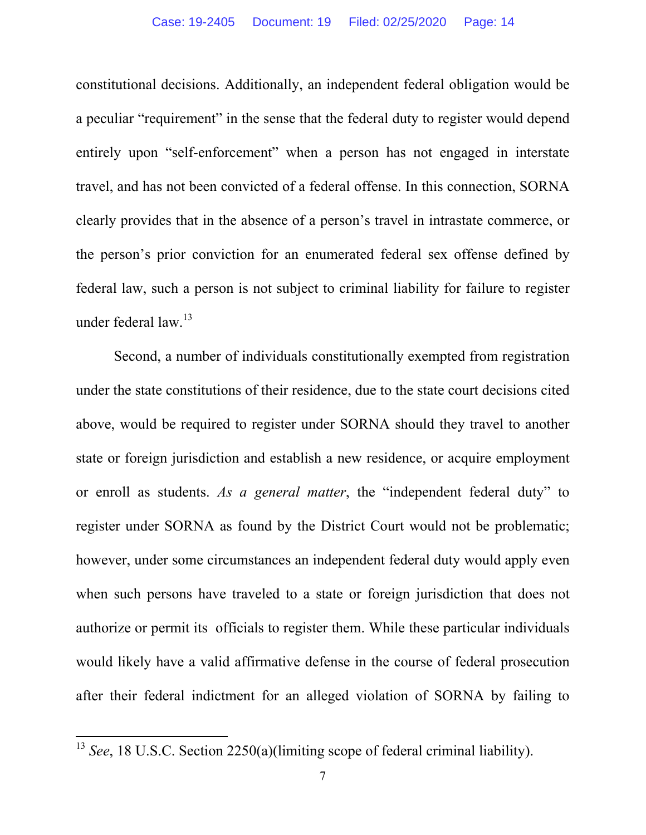constitutional decisions. Additionally, an independent federal obligation would be a peculiar "requirement" in the sense that the federal duty to register would depend entirely upon "self-enforcement" when a person has not engaged in interstate travel, and has not been convicted of a federal offense. In this connection, SORNA clearly provides that in the absence of a person's travel in intrastate commerce, or the person's prior conviction for an enumerated federal sex offense defined by federal law, such a person is not subject to criminal liability for failure to register under federal law.13

 Second, a number of individuals constitutionally exempted from registration under the state constitutions of their residence, due to the state court decisions cited above, would be required to register under SORNA should they travel to another state or foreign jurisdiction and establish a new residence, or acquire employment or enroll as students. *As a general matter*, the "independent federal duty" to register under SORNA as found by the District Court would not be problematic; however, under some circumstances an independent federal duty would apply even when such persons have traveled to a state or foreign jurisdiction that does not authorize or permit its officials to register them. While these particular individuals would likely have a valid affirmative defense in the course of federal prosecution after their federal indictment for an alleged violation of SORNA by failing to

<sup>&</sup>lt;sup>13</sup> *See*, 18 U.S.C. Section 2250(a)(limiting scope of federal criminal liability).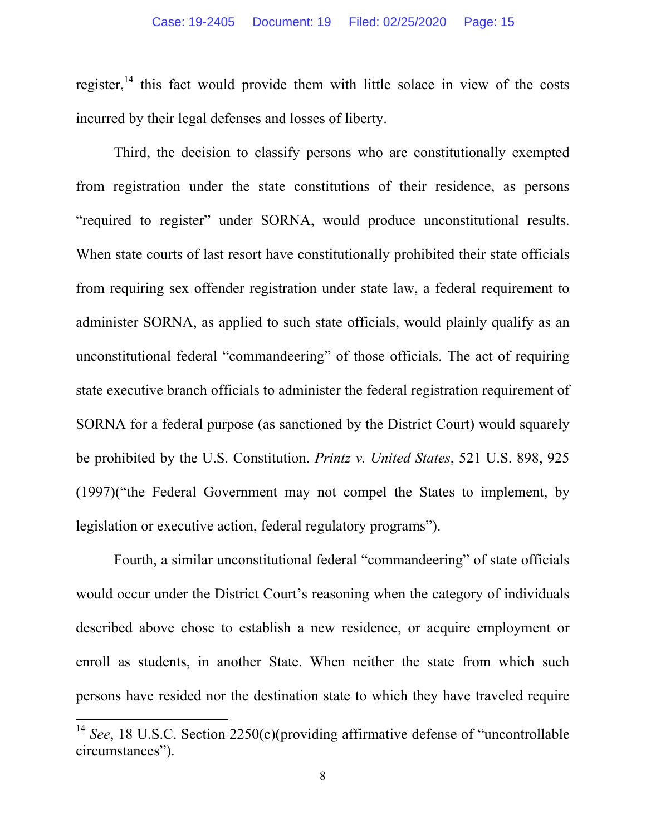register,<sup>14</sup> this fact would provide them with little solace in view of the costs incurred by their legal defenses and losses of liberty.

Third, the decision to classify persons who are constitutionally exempted from registration under the state constitutions of their residence, as persons "required to register" under SORNA, would produce unconstitutional results. When state courts of last resort have constitutionally prohibited their state officials from requiring sex offender registration under state law, a federal requirement to administer SORNA, as applied to such state officials, would plainly qualify as an unconstitutional federal "commandeering" of those officials. The act of requiring state executive branch officials to administer the federal registration requirement of SORNA for a federal purpose (as sanctioned by the District Court) would squarely be prohibited by the U.S. Constitution. *Printz v. United States*, 521 U.S. 898, 925 (1997)("the Federal Government may not compel the States to implement, by legislation or executive action, federal regulatory programs").

Fourth, a similar unconstitutional federal "commandeering" of state officials would occur under the District Court's reasoning when the category of individuals described above chose to establish a new residence, or acquire employment or enroll as students, in another State. When neither the state from which such persons have resided nor the destination state to which they have traveled require

<sup>&</sup>lt;sup>14</sup> *See*, 18 U.S.C. Section 2250(c)(providing affirmative defense of "uncontrollable circumstances").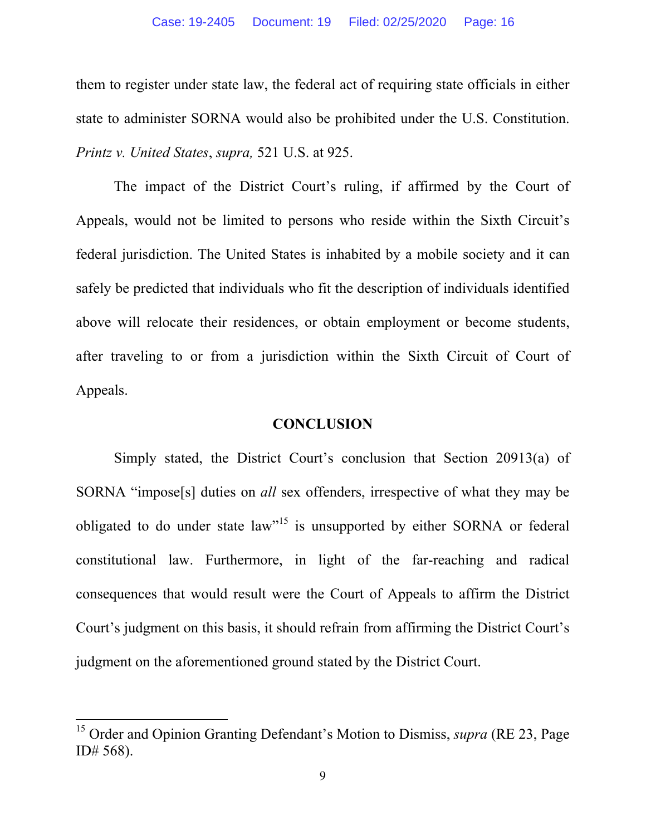them to register under state law, the federal act of requiring state officials in either state to administer SORNA would also be prohibited under the U.S. Constitution. *Printz v. United States*, *supra,* 521 U.S. at 925.

The impact of the District Court's ruling, if affirmed by the Court of Appeals, would not be limited to persons who reside within the Sixth Circuit's federal jurisdiction. The United States is inhabited by a mobile society and it can safely be predicted that individuals who fit the description of individuals identified above will relocate their residences, or obtain employment or become students, after traveling to or from a jurisdiction within the Sixth Circuit of Court of Appeals.

### **CONCLUSION**

 Simply stated, the District Court's conclusion that Section 20913(a) of SORNA "impose[s] duties on *all* sex offenders, irrespective of what they may be obligated to do under state law<sup>15</sup> is unsupported by either SORNA or federal constitutional law. Furthermore, in light of the far-reaching and radical consequences that would result were the Court of Appeals to affirm the District Court's judgment on this basis, it should refrain from affirming the District Court's judgment on the aforementioned ground stated by the District Court.

<sup>15</sup> Order and Opinion Granting Defendant's Motion to Dismiss, *supra* (RE 23, Page ID# 568).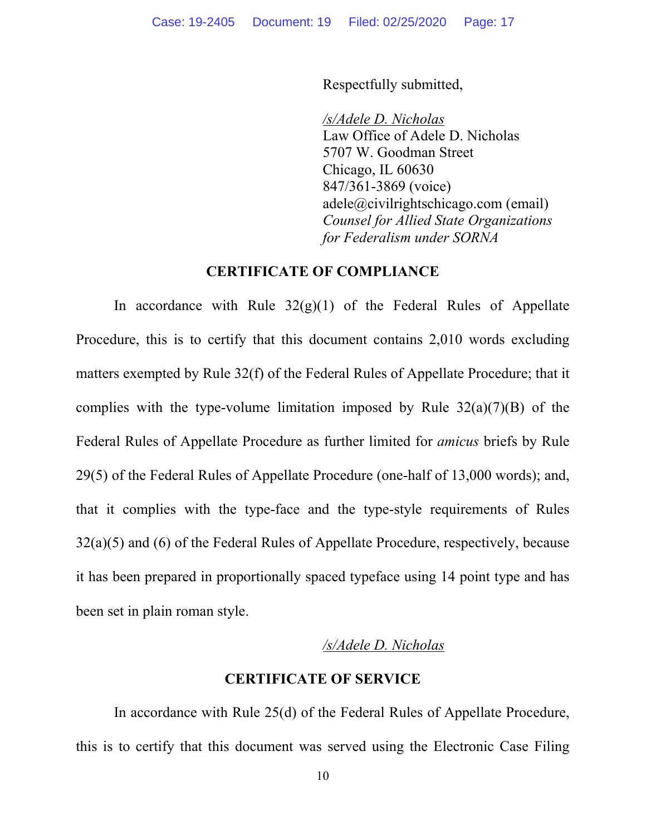Respectfully submitted,

*/s/Adele D. Nicholas*  Law Office of Adele D. Nicholas 5707 W. Goodman Street Chicago, IL 60630 847/361-3869 (voice) adele@civilrightschicago.com (email) *Counsel for Allied State Organizations for Federalism under SORNA* 

### **CERTIFICATE OF COMPLIANCE**

In accordance with Rule  $32(g)(1)$  of the Federal Rules of Appellate Procedure, this is to certify that this document contains 2,010 words excluding matters exempted by Rule 32(f) of the Federal Rules of Appellate Procedure; that it complies with the type-volume limitation imposed by Rule  $32(a)(7)(B)$  of the Federal Rules of Appellate Procedure as further limited for *amicus* briefs by Rule 29(5) of the Federal Rules of Appellate Procedure (one-half of 13,000 words); and, that it complies with the type-face and the type-style requirements of Rules 32(a)(5) and (6) of the Federal Rules of Appellate Procedure, respectively, because it has been prepared in proportionally spaced typeface using 14 point type and has been set in plain roman style.

#### */s/Adele D. Nicholas*

### **CERTIFICATE OF SERVICE**

In accordance with Rule 25(d) of the Federal Rules of Appellate Procedure, this is to certify that this document was served using the Electronic Case Filing